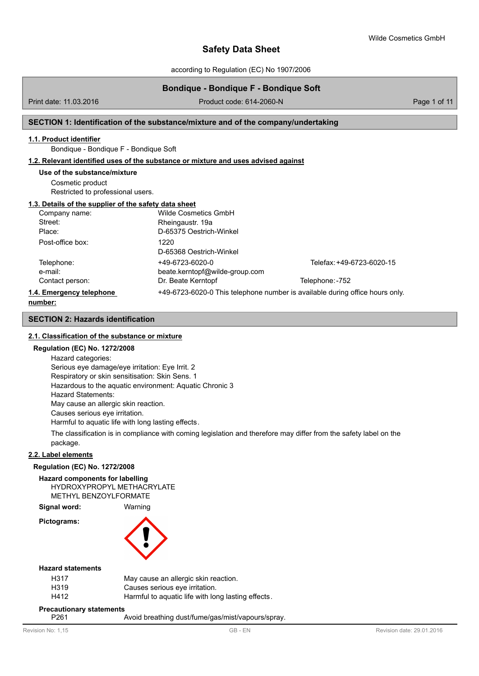according to Regulation (EC) No 1907/2006

### **Bondique - Bondique F - Bondique Soft**

Print date: 11.03.2016 **Product code: 614-2060-N** Product code: 614-2060-N Page 1 of 11

#### **SECTION 1: Identification of the substance/mixture and of the company/undertaking**

### **1.1. Product identifier**

Bondique - Bondique F - Bondique Soft

#### **1.2. Relevant identified uses of the substance or mixture and uses advised against**

#### **Use of the substance/mixture**

Cosmetic product Restricted to professional users.

#### **1.3. Details of the supplier of the safety data sheet**

| Company name:            | Wilde Cosmetics GmbH           |                                                                              |
|--------------------------|--------------------------------|------------------------------------------------------------------------------|
| Street:                  | Rheingaustr. 19a               |                                                                              |
| Place:                   | D-65375 Oestrich-Winkel        |                                                                              |
| Post-office box:         | 1220                           |                                                                              |
|                          | D-65368 Oestrich-Winkel        |                                                                              |
| Telephone:               | +49-6723-6020-0                | Telefax: +49-6723-6020-15                                                    |
| e-mail:                  | beate.kerntopf@wilde-group.com |                                                                              |
| Contact person:          | Dr. Beate Kerntopf             | Telephone: -752                                                              |
| 1.4. Emergency telephone |                                | +49-6723-6020-0 This telephone number is available during office hours only. |
|                          |                                |                                                                              |

#### **number:**

### **SECTION 2: Hazards identification**

### **2.1. Classification of the substance or mixture**

#### **Regulation (EC) No. 1272/2008**

Hazard categories: Serious eye damage/eye irritation: Eye Irrit. 2 Respiratory or skin sensitisation: Skin Sens. 1 Hazardous to the aquatic environment: Aquatic Chronic 3 Hazard Statements: May cause an allergic skin reaction. Causes serious eye irritation. Harmful to aquatic life with long lasting effects.

The classification is in compliance with coming legislation and therefore may differ from the safety label on the package.

### **2.2. Label elements**

#### **Regulation (EC) No. 1272/2008**

**Hazard components for labelling** HYDROXYPROPYL METHACRYLATE METHYL BENZOYLFORMATE

**Signal word:** Warning

**Pictograms:**



#### **Hazard statements**

| H317 | May cause an allergic skin reaction.               |
|------|----------------------------------------------------|
| H319 | Causes serious eye irritation.                     |
| H412 | Harmful to aquatic life with long lasting effects. |

#### **Precautionary statements**

P261 Avoid breathing dust/fume/gas/mist/vapours/spray.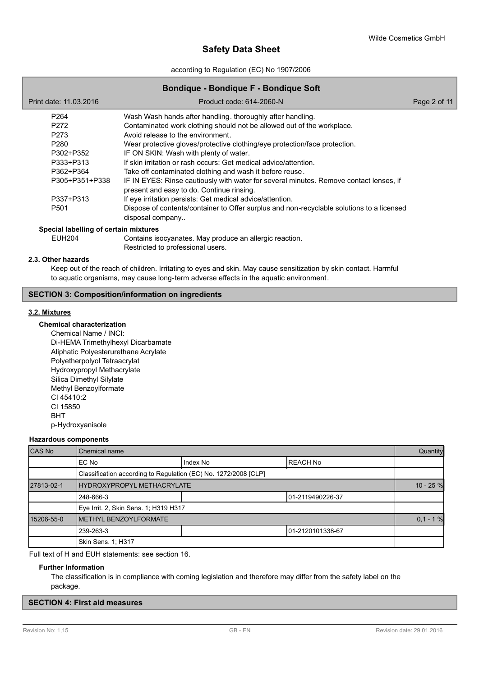according to Regulation (EC) No 1907/2006

| <b>Bondique - Bondique F - Bondique Soft</b> |                                                                                                                                     |              |  |  |  |
|----------------------------------------------|-------------------------------------------------------------------------------------------------------------------------------------|--------------|--|--|--|
| Print date: 11.03.2016                       | Product code: 614-2060-N                                                                                                            | Page 2 of 11 |  |  |  |
| P264                                         | Wash Wash hands after handling. thoroughly after handling.                                                                          |              |  |  |  |
| P272                                         | Contaminated work clothing should not be allowed out of the workplace.                                                              |              |  |  |  |
| P273                                         | Avoid release to the environment.                                                                                                   |              |  |  |  |
| P <sub>280</sub>                             | Wear protective gloves/protective clothing/eye protection/face protection.                                                          |              |  |  |  |
| P302+P352                                    | IF ON SKIN: Wash with plenty of water.                                                                                              |              |  |  |  |
| P333+P313                                    | If skin irritation or rash occurs: Get medical advice/attention.                                                                    |              |  |  |  |
| P362+P364                                    | Take off contaminated clothing and wash it before reuse.                                                                            |              |  |  |  |
| P305+P351+P338                               | IF IN EYES: Rinse cautiously with water for several minutes. Remove contact lenses, if<br>present and easy to do. Continue rinsing. |              |  |  |  |
| P337+P313                                    | If eye irritation persists: Get medical advice/attention.                                                                           |              |  |  |  |
| P <sub>501</sub>                             | Dispose of contents/container to Offer surplus and non-recyclable solutions to a licensed<br>disposal company                       |              |  |  |  |
| Special labelling of certain mixtures        |                                                                                                                                     |              |  |  |  |
| <b>EUH204</b>                                | Contains isocyanates. May produce an allergic reaction.                                                                             |              |  |  |  |

### **2.3. Other hazards**

Keep out of the reach of children. Irritating to eyes and skin. May cause sensitization by skin contact. Harmful to aquatic organisms, may cause long-term adverse effects in the aquatic environment.

Restricted to professional users.

### **SECTION 3: Composition/information on ingredients**

### **3.2. Mixtures**

### **Chemical characterization**

Chemical Name / INCI: Di-HEMA Trimethylhexyl Dicarbamate Aliphatic Polyesterurethane Acrylate Polyetherpolyol Tetraacrylat Hydroxypropyl Methacrylate Silica Dimethyl Silylate Methyl Benzoylformate CI 45410:2 CI 15850 BHT

p-Hydroxyanisole

## **Hazardous components**

| <b>CAS No</b> | Chemical name                                                   |          |                  | Quantity   |  |
|---------------|-----------------------------------------------------------------|----------|------------------|------------|--|
|               | IEC No                                                          | Index No | <b>REACH No</b>  |            |  |
|               | Classification according to Regulation (EC) No. 1272/2008 [CLP] |          |                  |            |  |
| 27813-02-1    | HYDROXYPROPYL METHACRYLATE                                      |          |                  |            |  |
|               | 248-666-3                                                       |          | 01-2119490226-37 |            |  |
|               | Eye Irrit. 2, Skin Sens. 1; H319 H317                           |          |                  |            |  |
| 15206-55-0    | <b>IMETHYL BENZOYLFORMATE</b>                                   |          |                  | $0.1 - 1%$ |  |
|               | 239-263-3                                                       |          | 01-2120101338-67 |            |  |
|               | Skin Sens. 1; H317                                              |          |                  |            |  |

Full text of H and EUH statements: see section 16.

### **Further Information**

The classification is in compliance with coming legislation and therefore may differ from the safety label on the package.

### **SECTION 4: First aid measures**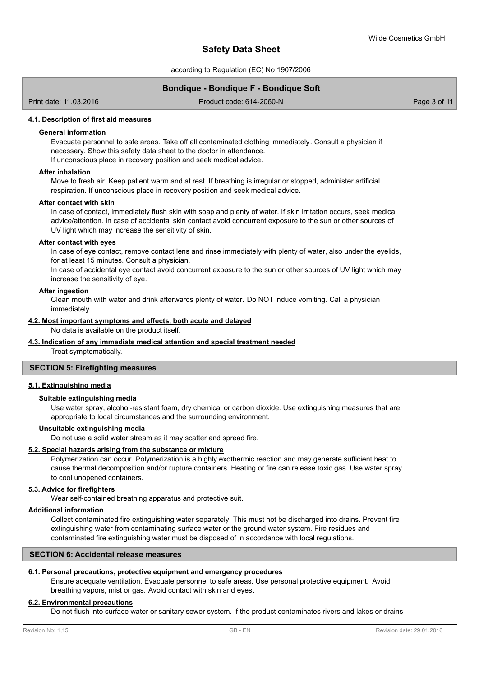according to Regulation (EC) No 1907/2006

### **Bondique - Bondique F - Bondique Soft**

Print date: 11.03.2016 Product code: 614-2060-N Product code: 614-2060-N Page 3 of 11

#### **4.1. Description of first aid measures**

#### **General information**

Evacuate personnel to safe areas. Take off all contaminated clothing immediately. Consult a physician if necessary. Show this safety data sheet to the doctor in attendance. If unconscious place in recovery position and seek medical advice.

#### **After inhalation**

Move to fresh air. Keep patient warm and at rest. If breathing is irregular or stopped, administer artificial respiration. If unconscious place in recovery position and seek medical advice.

#### **After contact with skin**

In case of contact, immediately flush skin with soap and plenty of water. If skin irritation occurs, seek medical advice/attention. In case of accidental skin contact avoid concurrent exposure to the sun or other sources of UV light which may increase the sensitivity of skin.

#### **After contact with eyes**

In case of eye contact, remove contact lens and rinse immediately with plenty of water, also under the eyelids, for at least 15 minutes. Consult a physician.

In case of accidental eye contact avoid concurrent exposure to the sun or other sources of UV light which may increase the sensitivity of eye.

#### **After ingestion**

Clean mouth with water and drink afterwards plenty of water. Do NOT induce vomiting. Call a physician immediately.

#### **4.2. Most important symptoms and effects, both acute and delayed**

No data is available on the product itself.

#### **4.3. Indication of any immediate medical attention and special treatment needed**

Treat symptomatically.

### **SECTION 5: Firefighting measures**

### **5.1. Extinguishing media**

#### **Suitable extinguishing media**

Use water spray, alcohol-resistant foam, dry chemical or carbon dioxide. Use extinguishing measures that are appropriate to local circumstances and the surrounding environment.

#### **Unsuitable extinguishing media**

Do not use a solid water stream as it may scatter and spread fire.

#### **5.2. Special hazards arising from the substance or mixture**

Polymerization can occur. Polymerization is a highly exothermic reaction and may generate sufficient heat to cause thermal decomposition and/or rupture containers. Heating or fire can release toxic gas. Use water spray to cool unopened containers.

#### **5.3. Advice for firefighters**

Wear self-contained breathing apparatus and protective suit.

### **Additional information**

Collect contaminated fire extinguishing water separately. This must not be discharged into drains. Prevent fire extinguishing water from contaminating surface water or the ground water system. Fire residues and contaminated fire extinguishing water must be disposed of in accordance with local regulations.

#### **SECTION 6: Accidental release measures**

#### **6.1. Personal precautions, protective equipment and emergency procedures**

Ensure adequate ventilation. Evacuate personnel to safe areas. Use personal protective equipment. Avoid breathing vapors, mist or gas. Avoid contact with skin and eyes.

### **6.2. Environmental precautions**

Do not flush into surface water or sanitary sewer system. If the product contaminates rivers and lakes or drains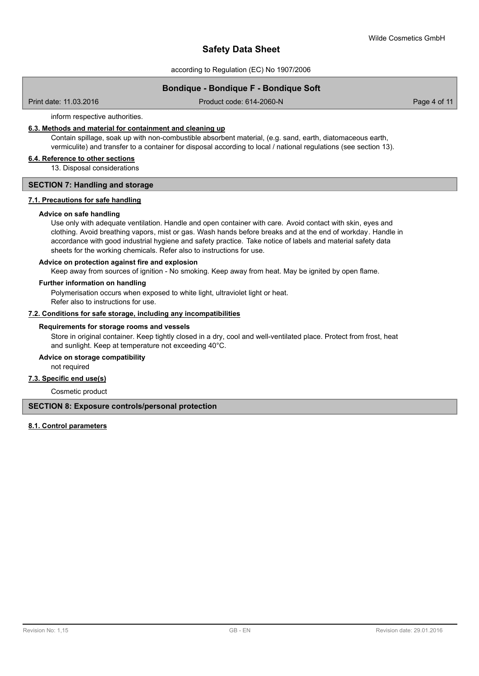according to Regulation (EC) No 1907/2006

### **Bondique - Bondique F - Bondique Soft**

Print date: 11.03.2016 **Product code: 614-2060-N** Product code: 614-2060-N

inform respective authorities.

#### **6.3. Methods and material for containment and cleaning up**

Contain spillage, soak up with non-combustible absorbent material, (e.g. sand, earth, diatomaceous earth, vermiculite) and transfer to a container for disposal according to local / national regulations (see section 13).

### **6.4. Reference to other sections**

13. Disposal considerations

#### **SECTION 7: Handling and storage**

#### **7.1. Precautions for safe handling**

#### **Advice on safe handling**

Use only with adequate ventilation. Handle and open container with care. Avoid contact with skin, eyes and clothing. Avoid breathing vapors, mist or gas. Wash hands before breaks and at the end of workday. Handle in accordance with good industrial hygiene and safety practice. Take notice of labels and material safety data sheets for the working chemicals. Refer also to instructions for use.

#### **Advice on protection against fire and explosion**

Keep away from sources of ignition - No smoking. Keep away from heat. May be ignited by open flame.

#### **Further information on handling**

Polymerisation occurs when exposed to white light, ultraviolet light or heat. Refer also to instructions for use.

### **7.2. Conditions for safe storage, including any incompatibilities**

#### **Requirements for storage rooms and vessels**

Store in original container. Keep tightly closed in a dry, cool and well-ventilated place. Protect from frost, heat and sunlight. Keep at temperature not exceeding 40°C.

#### **Advice on storage compatibility**

not required

#### **7.3. Specific end use(s)**

Cosmetic product

**SECTION 8: Exposure controls/personal protection**

### **8.1. Control parameters**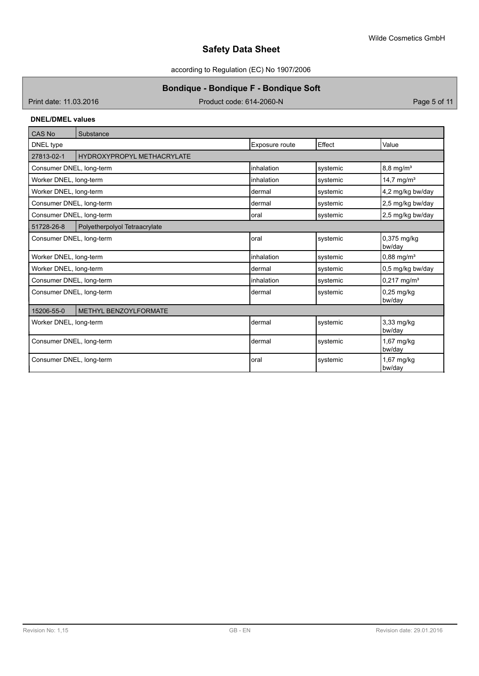according to Regulation (EC) No 1907/2006

# **Bondique - Bondique F - Bondique Soft**

Print date: 11.03.2016 **Product code: 614-2060-N** Product code: 614-2060-N

### **DNEL/DMEL values**

| CAS No                                         | Substance                     |            |          |                          |  |
|------------------------------------------------|-------------------------------|------------|----------|--------------------------|--|
| Effect<br>DNEL type<br>Exposure route<br>Value |                               |            |          |                          |  |
| 27813-02-1                                     | HYDROXYPROPYL METHACRYLATE    |            |          |                          |  |
| Consumer DNEL, long-term                       |                               | inhalation | systemic | $8,8 \text{ mg/m}^3$     |  |
| Worker DNEL, long-term                         |                               | inhalation | systemic | 14,7 mg/ $m^3$           |  |
| Worker DNEL, long-term                         |                               | dermal     | systemic | 4,2 mg/kg bw/day         |  |
| Consumer DNEL, long-term                       |                               | dermal     | systemic | 2,5 mg/kg bw/day         |  |
| Consumer DNEL, long-term                       |                               | loral      | systemic | 2,5 mg/kg bw/day         |  |
| 51728-26-8                                     | Polyetherpolyol Tetraacrylate |            |          |                          |  |
| Consumer DNEL, long-term                       |                               | oral       | systemic | 0,375 mg/kg<br>bw/day    |  |
| Worker DNEL, long-term                         |                               | inhalation | systemic | $0,88$ mg/m <sup>3</sup> |  |
| Worker DNEL, long-term                         |                               | dermal     | systemic | 0,5 mg/kg bw/day         |  |
| Consumer DNEL, long-term                       |                               | inhalation | systemic | $0,217 \text{ mg/m}^3$   |  |
| Consumer DNEL, long-term                       |                               | dermal     | systemic | $0,25$ mg/kg<br>bw/day   |  |
| 15206-55-0                                     | METHYL BENZOYLFORMATE         |            |          |                          |  |
| Worker DNEL, long-term                         |                               | dermal     | systemic | 3,33 mg/kg<br>bw/day     |  |
| Consumer DNEL, long-term                       |                               | dermal     | systemic | 1,67 mg/kg<br>bw/day     |  |
| Consumer DNEL, long-term                       |                               | oral       | systemic | 1,67 mg/kg<br>bw/day     |  |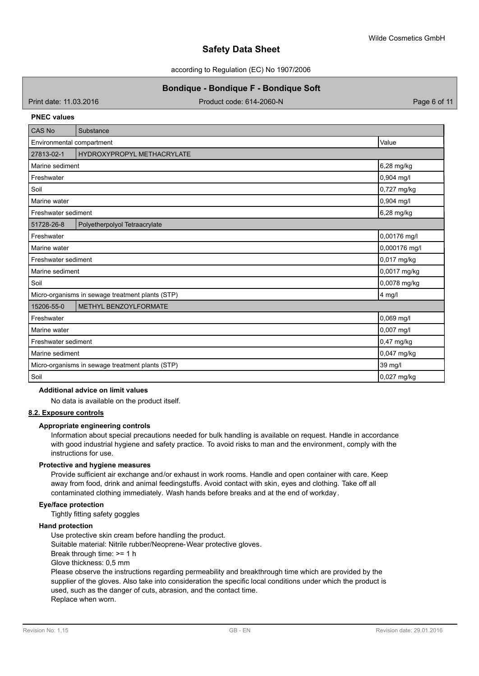according to Regulation (EC) No 1907/2006

### **Bondique - Bondique F - Bondique Soft**

Print date: 11.03.2016 **Product code: 614-2060-N** Product code: 614-2060-N

### **PNEC values**

| CAS No                                                       | Substance                                        |               |  |  |
|--------------------------------------------------------------|--------------------------------------------------|---------------|--|--|
|                                                              | Environmental compartment<br>Value               |               |  |  |
| 27813-02-1                                                   | HYDROXYPROPYL METHACRYLATE                       |               |  |  |
| Marine sediment                                              |                                                  | 6,28 mg/kg    |  |  |
| Freshwater                                                   |                                                  | 0,904 mg/l    |  |  |
| Soil                                                         |                                                  | 0,727 mg/kg   |  |  |
| Marine water                                                 |                                                  | 0,904 mg/l    |  |  |
| Freshwater sediment                                          |                                                  | 6,28 mg/kg    |  |  |
| 51728-26-8                                                   | Polyetherpolyol Tetraacrylate                    |               |  |  |
| Freshwater                                                   |                                                  | 0,00176 mg/l  |  |  |
| Marine water                                                 |                                                  | 0,000176 mg/l |  |  |
| Freshwater sediment                                          |                                                  | 0,017 mg/kg   |  |  |
| Marine sediment                                              |                                                  | 0,0017 mg/kg  |  |  |
| Soil                                                         |                                                  | 0,0078 mg/kg  |  |  |
| Micro-organisms in sewage treatment plants (STP)<br>$4$ mg/l |                                                  |               |  |  |
| 15206-55-0                                                   | <b>METHYL BENZOYLFORMATE</b>                     |               |  |  |
| Freshwater                                                   |                                                  | 0,069 mg/l    |  |  |
| Marine water                                                 |                                                  | 0,007 mg/l    |  |  |
| Freshwater sediment                                          |                                                  | 0,47 mg/kg    |  |  |
| Marine sediment                                              |                                                  | 0,047 mg/kg   |  |  |
|                                                              | Micro-organisms in sewage treatment plants (STP) | 39 mg/l       |  |  |
| Soil                                                         |                                                  | 0,027 mg/kg   |  |  |

### **Additional advice on limit values**

No data is available on the product itself.

### **8.2. Exposure controls**

### **Appropriate engineering controls**

Information about special precautions needed for bulk handling is available on request. Handle in accordance with good industrial hygiene and safety practice. To avoid risks to man and the environment, comply with the instructions for use.

### **Protective and hygiene measures**

Provide sufficient air exchange and/or exhaust in work rooms. Handle and open container with care. Keep away from food, drink and animal feedingstuffs. Avoid contact with skin, eyes and clothing. Take off all contaminated clothing immediately. Wash hands before breaks and at the end of workday.

#### **Eye/face protection**

Tightly fitting safety goggles

### **Hand protection**

Use protective skin cream before handling the product.

Suitable material: Nitrile rubber/Neoprene-Wear protective gloves.

Break through time: >= 1 h

Glove thickness: 0,5 mm

Please observe the instructions regarding permeability and breakthrough time which are provided by the supplier of the gloves. Also take into consideration the specific local conditions under which the product is used, such as the danger of cuts, abrasion, and the contact time. Replace when worn.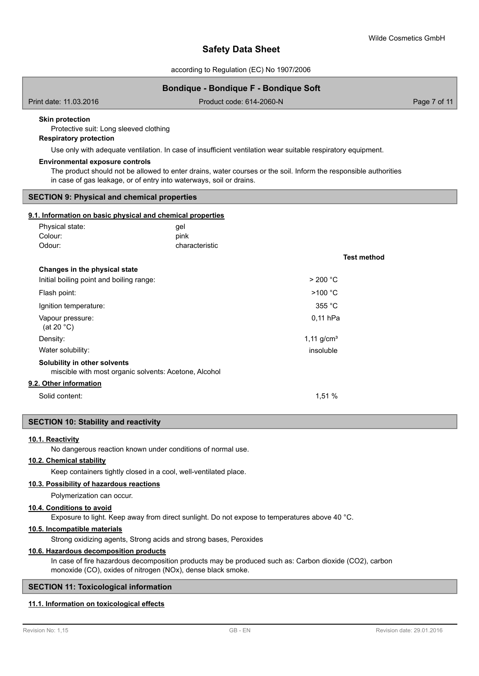**Test method**

## **Safety Data Sheet**

according to Regulation (EC) No 1907/2006

### **Bondique - Bondique F - Bondique Soft**

Print date: 11.03.2016 **Product code: 614-2060-N** Product code: 614-2060-N

#### **Skin protection**

Protective suit: Long sleeved clothing

### **Respiratory protection**

Use only with adequate ventilation. In case of insufficient ventilation wear suitable respiratory equipment.

### **Environmental exposure controls**

The product should not be allowed to enter drains, water courses or the soil. Inform the responsible authorities in case of gas leakage, or of entry into waterways, soil or drains.

### **SECTION 9: Physical and chemical properties**

#### **9.1. Information on basic physical and chemical properties**

| Physical state: | ael            |
|-----------------|----------------|
| Colour:         | pink           |
| Odour:          | characteristic |

### **Changes in the physical state**

| Initial boiling point and boiling range:                                              | > 200 °C     |
|---------------------------------------------------------------------------------------|--------------|
| Flash point:                                                                          | >100 °C      |
| Ignition temperature:                                                                 | 355 °C       |
| Vapour pressure:<br>(at 20 $^{\circ}$ C)                                              | $0.11$ hPa   |
| Density:                                                                              | 1,11 $q/cm3$ |
| Water solubility:                                                                     | insoluble    |
| Solubility in other solvents<br>miscible with most organic solvents: Acetone, Alcohol |              |
| 9.2. Other information                                                                |              |
| Solid content:                                                                        | 1,51 %       |

### **SECTION 10: Stability and reactivity**

### **10.1. Reactivity**

No dangerous reaction known under conditions of normal use.

### **10.2. Chemical stability**

Keep containers tightly closed in a cool, well-ventilated place.

#### **10.3. Possibility of hazardous reactions**

Polymerization can occur.

### **10.4. Conditions to avoid**

Exposure to light. Keep away from direct sunlight. Do not expose to temperatures above 40 °C.

### **10.5. Incompatible materials**

Strong oxidizing agents, Strong acids and strong bases, Peroxides

### **10.6. Hazardous decomposition products**

In case of fire hazardous decomposition products may be produced such as: Carbon dioxide (CO2), carbon monoxide (CO), oxides of nitrogen (NOx), dense black smoke.

### **SECTION 11: Toxicological information**

### **11.1. Information on toxicological effects**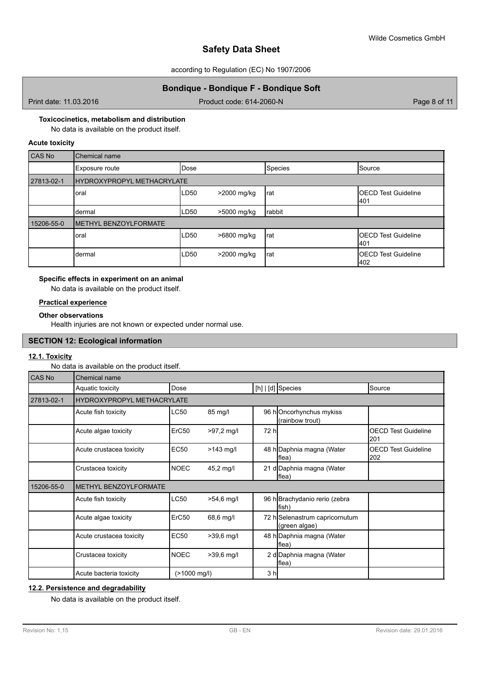according to Regulation (EC) No 1907/2006

## **Bondique - Bondique F - Bondique Soft**

Print date: 11.03.2016 **Product code: 614-2060-N** Product code: 614-2060-N

### **Toxicocinetics, metabolism and distribution**

No data is available on the product itself.

### **Acute toxicity**

| CAS No     | Chemical name              |                  |             |         |                                    |
|------------|----------------------------|------------------|-------------|---------|------------------------------------|
|            | Exposure route             | <b>IDose</b>     |             | Species | <b>Source</b>                      |
| 27813-02-1 | HYDROXYPROPYL METHACRYLATE |                  |             |         |                                    |
|            | oral                       | LD <sub>50</sub> | >2000 mg/kg | Irat    | <b>IOECD Test Guideline</b><br>401 |
|            | dermal                     | LD50             | >5000 mg/kg | rabbit  |                                    |
| 15206-55-0 | METHYL BENZOYLFORMATE      |                  |             |         |                                    |
|            | oral                       | LD <sub>50</sub> | >6800 mg/kg | Irat    | <b>IOECD Test Guideline</b><br>401 |
|            | dermal                     | LD <sub>50</sub> | >2000 mg/kg | Irat    | <b>IOECD Test Guideline</b><br>402 |

### **Specific effects in experiment on an animal**

No data is available on the product itself.

### **Practical experience**

#### **Other observations**

Health injuries are not known or expected under normal use.

## **SECTION 12: Ecological information**

### **12.1. Toxicity**

No data is available on the product itself.

| CAS No     | Chemical name                |                   |              |      |                                                 |                            |  |
|------------|------------------------------|-------------------|--------------|------|-------------------------------------------------|----------------------------|--|
|            | Aquatic toxicity             | Dose              |              |      | [h] $ d]$ Species                               | <b>Source</b>              |  |
| 27813-02-1 | HYDROXYPROPYL METHACRYLATE   |                   |              |      |                                                 |                            |  |
|            | Acute fish toxicity          | <b>LC50</b>       | 85 mg/l      |      | 96 hOncorhynchus mykiss<br>(rainbow trout)      |                            |  |
|            | Acute algae toxicity         | ErC <sub>50</sub> | $>97,2$ mg/l | 72 h |                                                 | OECD Test Guideline<br>201 |  |
|            | Acute crustacea toxicity     | <b>EC50</b>       | $>143$ mg/   |      | 48 h Daphnia magna (Water<br>flea)              | OECD Test Guideline<br>202 |  |
|            | Crustacea toxicity           | <b>NOEC</b>       | 45,2 mg/l    |      | 21 d Daphnia magna (Water<br>flea)              |                            |  |
| 15206-55-0 | <b>METHYL BENZOYLFORMATE</b> |                   |              |      |                                                 |                            |  |
|            | Acute fish toxicity          | <b>LC50</b>       | $>54,6$ mg/l |      | 96 h Brachydanio rerio (zebra<br>fish)          |                            |  |
|            | Acute algae toxicity         | ErC50             | 68,6 mg/l    |      | 72 h Selenastrum capricornutum<br>(green algae) |                            |  |
|            | Acute crustacea toxicity     | <b>EC50</b>       | $>39,6$ mg/l |      | 48 h Daphnia magna (Water<br>flea)              |                            |  |
|            | Crustacea toxicity           | <b>NOEC</b>       | $>39,6$ mg/l |      | 2 d Daphnia magna (Water<br>flea)               |                            |  |
|            | Acute bacteria toxicity      | (>1000 mg/l)      |              | 3 h  |                                                 |                            |  |

### **12.2. Persistence and degradability**

No data is available on the product itself.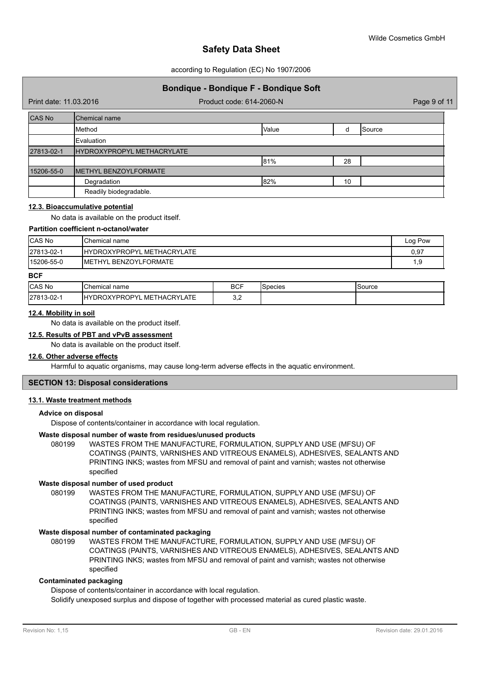#### according to Regulation (EC) No 1907/2006

### **Bondique - Bondique F - Bondique Soft**

Print date: 11.03.2016 Product code: 614-2060-N Product code: 614-2060-N Page 9 of 11 CAS No Chemical name Method **Method Method Contract Contract Contract Contract Contract Contract Contract Contract Contract Contract Contract Contract Contract Contract Contract Contract Contract Contract Contract Contract Contract Contrac** Evaluation 27813-02-1 HYDROXYPROPYL METHACRYLATE 81% 28 15206-55-0 METHYL BENZOYLFORMATE Degradation 82% 10 Readily biodegradable.

#### **12.3. Bioaccumulative potential**

No data is available on the product itself.

#### **Partition coefficient n-octanol/water**

| <b>CAS No</b> | <b>I</b> Chemical name             | Log Pow |
|---------------|------------------------------------|---------|
| 27813-02-1    | <b>IHYDROXYPROPYL METHACRYLATE</b> | 0,97    |
| 15206-55-0    | BENZOYLFORMATE<br><b>IMETHYL</b>   | 9. ا    |

#### **BCF**

| <b>CAS No</b>          | name<br>`hemica<br>$\sim$ $\sim$                                                                                        | <b>BCF</b><br>$\sim$ | oecies? | source |
|------------------------|-------------------------------------------------------------------------------------------------------------------------|----------------------|---------|--------|
| $.3 - 02 - 1$<br>27813 | <b>ATE</b><br>. VDDC<br><b>HACRY'</b><br>٦PY<br>. ME <sup>7</sup><br>⊣H <sup>V</sup><br>≀⊊ا<br>$\overline{\phantom{0}}$ | ັັ                   |         |        |

### **12.4. Mobility in soil**

No data is available on the product itself.

#### **12.5. Results of PBT and vPvB assessment**

No data is available on the product itself.

### **12.6. Other adverse effects**

Harmful to aquatic organisms, may cause long-term adverse effects in the aquatic environment.

### **SECTION 13: Disposal considerations**

#### **13.1. Waste treatment methods**

### **Advice on disposal**

Dispose of contents/container in accordance with local regulation.

#### **Waste disposal number of waste from residues/unused products**

080199 WASTES FROM THE MANUFACTURE, FORMULATION, SUPPLY AND USE (MFSU) OF COATINGS (PAINTS, VARNISHES AND VITREOUS ENAMELS), ADHESIVES, SEALANTS AND PRINTING INKS; wastes from MFSU and removal of paint and varnish; wastes not otherwise specified

#### **Waste disposal number of used product**

WASTES FROM THE MANUFACTURE, FORMULATION, SUPPLY AND USE (MFSU) OF COATINGS (PAINTS, VARNISHES AND VITREOUS ENAMELS), ADHESIVES, SEALANTS AND PRINTING INKS; wastes from MFSU and removal of paint and varnish; wastes not otherwise specified 080199

#### **Waste disposal number of contaminated packaging**

WASTES FROM THE MANUFACTURE, FORMULATION, SUPPLY AND USE (MFSU) OF COATINGS (PAINTS, VARNISHES AND VITREOUS ENAMELS), ADHESIVES, SEALANTS AND PRINTING INKS; wastes from MFSU and removal of paint and varnish; wastes not otherwise specified 080199

### **Contaminated packaging**

Dispose of contents/container in accordance with local regulation.

Solidify unexposed surplus and dispose of together with processed material as cured plastic waste.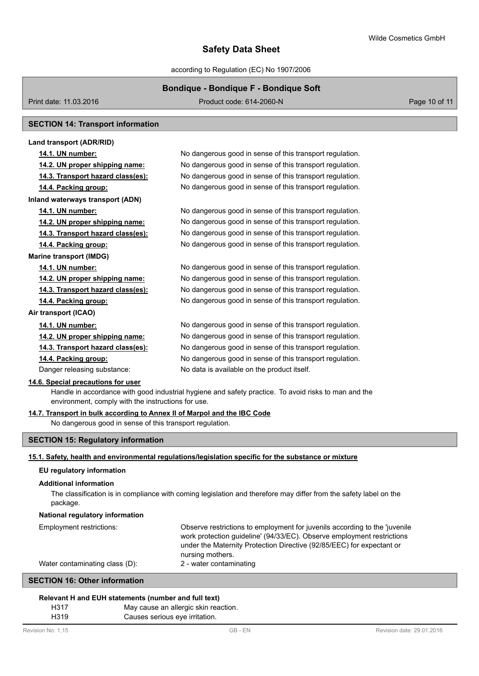according to Regulation (EC) No 1907/2006

### **Bondique - Bondique F - Bondique Soft**

Print date: 11.03.2016 **Product code: 614-2060-N** Product code: 614-2060-N Page 10 of 11

### **SECTION 14: Transport information**

| Land transport (ADR/RID)                           |                                                                                                      |  |
|----------------------------------------------------|------------------------------------------------------------------------------------------------------|--|
| 14.1. UN number:                                   | No dangerous good in sense of this transport regulation.                                             |  |
| 14.2. UN proper shipping name:                     | No dangerous good in sense of this transport regulation.                                             |  |
| 14.3. Transport hazard class(es):                  | No dangerous good in sense of this transport regulation.                                             |  |
| 14.4. Packing group:                               | No dangerous good in sense of this transport regulation.                                             |  |
| Inland waterways transport (ADN)                   |                                                                                                      |  |
| 14.1. UN number:                                   | No dangerous good in sense of this transport regulation.                                             |  |
| 14.2. UN proper shipping name:                     | No dangerous good in sense of this transport regulation.                                             |  |
| 14.3. Transport hazard class(es):                  | No dangerous good in sense of this transport regulation.                                             |  |
| 14.4. Packing group:                               | No dangerous good in sense of this transport regulation.                                             |  |
| <b>Marine transport (IMDG)</b>                     |                                                                                                      |  |
| 14.1. UN number:                                   | No dangerous good in sense of this transport regulation.                                             |  |
| 14.2. UN proper shipping name:                     | No dangerous good in sense of this transport regulation.                                             |  |
| 14.3. Transport hazard class(es):                  | No dangerous good in sense of this transport regulation.                                             |  |
| 14.4. Packing group:                               | No dangerous good in sense of this transport regulation.                                             |  |
| Air transport (ICAO)                               |                                                                                                      |  |
| 14.1. UN number:                                   | No dangerous good in sense of this transport regulation.                                             |  |
| 14.2. UN proper shipping name:                     | No dangerous good in sense of this transport regulation.                                             |  |
| 14.3. Transport hazard class(es):                  | No dangerous good in sense of this transport regulation.                                             |  |
| 14.4. Packing group:                               | No dangerous good in sense of this transport regulation.                                             |  |
| Danger releasing substance:                        | No data is available on the product itself.                                                          |  |
| 14.6. Special precautions for user                 |                                                                                                      |  |
|                                                    | Handle in accordance with good industrial hygiene and safety practice. To avoid risks to man and the |  |
| environment, comply with the instructions for use. |                                                                                                      |  |

### **14.7. Transport in bulk according to Annex II of Marpol and the IBC Code**

No dangerous good in sense of this transport regulation.

### **SECTION 15: Regulatory information**

### **15.1. Safety, health and environmental regulations/legislation specific for the substance or mixture**

#### **EU regulatory information**

#### **Additional information**

The classification is in compliance with coming legislation and therefore may differ from the safety label on the package.

## **National regulatory information**

| Employment restrictions:       | Observe restrictions to employment for juvenils according to the 'juvenile<br>work protection guideline' (94/33/EC). Observe employment restrictions<br>under the Maternity Protection Directive (92/85/EEC) for expectant or<br>nursing mothers. |
|--------------------------------|---------------------------------------------------------------------------------------------------------------------------------------------------------------------------------------------------------------------------------------------------|
| Water contaminating class (D): | 2 - water contaminating                                                                                                                                                                                                                           |

## **SECTION 16: Other information**

#### **Relevant H and EUH statements (number and full text)**

| H317 | May cause an allergic skin reaction. |  |
|------|--------------------------------------|--|
| H319 | Causes serious eye irritation.       |  |